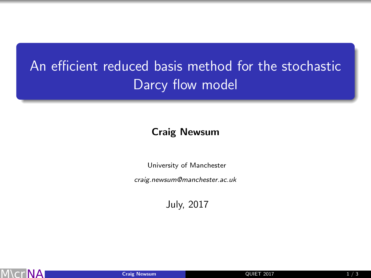## An efficient reduced basis method for the stochastic Darcy flow model

## Craig Newsum

University of Manchester

craig.newsum@manchester.ac.uk

<span id="page-0-0"></span>July, 2017

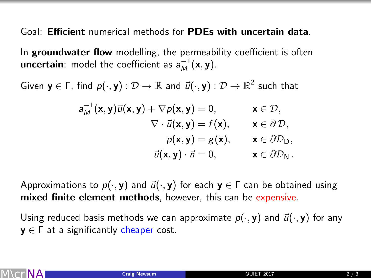Goal: Efficient numerical methods for PDEs with uncertain data.

In groundwater flow modelling, the permeability coefficient is often **uncertain**: model the coefficient as  $a_M^{-1}(\mathbf{x}, \mathbf{y})$ .

Given  $\mathbf{y}\in\mathsf{\Gamma},$  find  $p(\cdot,\mathbf{y}):\mathcal{D}\to\mathbb{R}$  and  $\vec{u}(\cdot,\mathbf{y}):\mathcal{D}\to\mathbb{R}^2$  such that

$$
a_M^{-1}(\mathbf{x}, \mathbf{y}) \vec{u}(\mathbf{x}, \mathbf{y}) + \nabla p(\mathbf{x}, \mathbf{y}) = 0, \qquad \mathbf{x} \in \mathcal{D},
$$
  
\n
$$
\nabla \cdot \vec{u}(\mathbf{x}, \mathbf{y}) = f(\mathbf{x}), \qquad \mathbf{x} \in \partial \mathcal{D},
$$
  
\n
$$
p(\mathbf{x}, \mathbf{y}) = g(\mathbf{x}), \qquad \mathbf{x} \in \partial \mathcal{D}_D,
$$
  
\n
$$
\vec{u}(\mathbf{x}, \mathbf{y}) \cdot \vec{n} = 0, \qquad \mathbf{x} \in \partial \mathcal{D}_N.
$$

Approximations to  $p(\cdot, y)$  and  $\vec{u}(\cdot, y)$  for each  $y \in \Gamma$  can be obtained using mixed finite element methods, however, this can be expensive.

Using reduced basis methods we can approximate  $p(\cdot, y)$  and  $\vec{u}(\cdot, y)$  for any  $y \in \Gamma$  at a significantly cheaper cost.